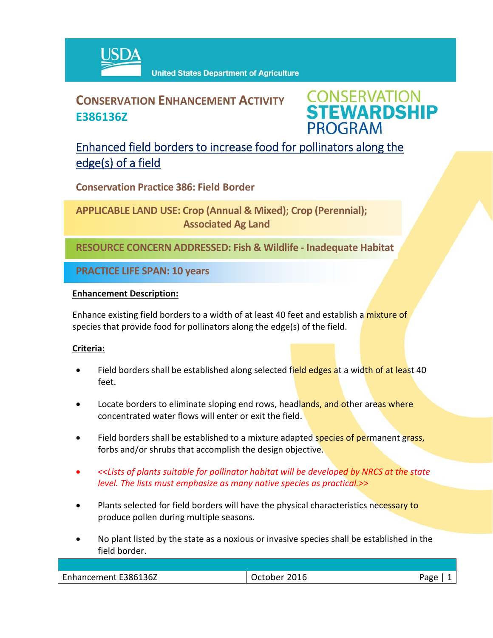

## **CONSERVATION ENHANCEMENT ACTIVITY E386136Z**

**CONSERVATION<br>STEWARDSHIP PROGRAM** 

### Enhanced field borders to increase food for pollinators along the edge(s) of a field

**Conservation Practice 386: Field Border**

**APPLICABLE LAND USE: Crop (Annual & Mixed); Crop (Perennial); Associated Ag Land**

**RESOURCE CONCERN ADDRESSED: Fish & Wildlife ‐ Inadequate Habitat**

**PRACTICE LIFE SPAN: 10 years**

#### **Enhancement Description:**

Enhance existing field borders to a width of at least 40 feet and establish a mixture of species that provide food for pollinators along the edge(s) of the field.

#### **Criteria:**

- Field borders shall be established along selected field edges at a width of at least 40 feet.
- Locate borders to eliminate sloping end rows, headlands, and other areas where concentrated water flows will enter or exit the field.
- Field borders shall be established to a mixture adapted species of permanent grass, forbs and/or shrubs that accomplish the design objective.
- *<<Lists of plants suitable for pollinator habitat will be developed by NRCS at the state level. The lists must emphasize as many native species as practical.>>*
- Plants selected for field borders will have the physical characteristics necessary to produce pollen during multiple seasons.
- No plant listed by the state as a noxious or invasive species shall be established in the field border.

| E386136Z<br>Enhancement | 2016<br>October | oaco |
|-------------------------|-----------------|------|
|                         |                 |      |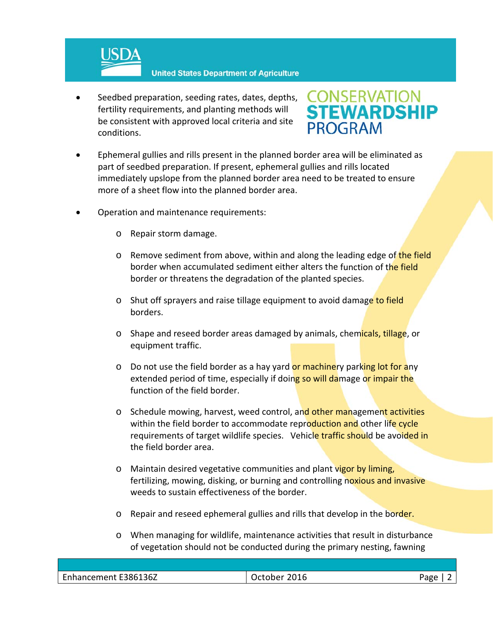

 Seedbed preparation, seeding rates, dates, depths, fertility requirements, and planting methods will be consistent with approved local criteria and site conditions.

# **CONSERVATION<br>STEWARDSHIP PROGRAM**

- Ephemeral gullies and rills present in the planned border area will be eliminated as part of seedbed preparation. If present, ephemeral gullies and rills located immediately upslope from the planned border area need to be treated to ensure more of a sheet flow into the planned border area.
- Operation and maintenance requirements:
	- o Repair storm damage.
	- o Remove sediment from above, within and along the leading edge of the field border when accumulated sediment either alters the function of the field border or threatens the degradation of the planted species.
	- o Shut off sprayers and raise tillage equipment to avoid damage to field borders.
	- o Shape and reseed border areas damaged by animals, chemicals, tillage, or equipment traffic.
	- o Do not use the field border as a hay yard or machinery parking lot for any extended period of time, especially if doing so will damage or impair the function of the field border.
	- o Schedule mowing, harvest, weed control, and other management activities within the field border to accommodate reproduction and other life cycle requirements of target wildlife species. Vehicle traffic should be avoided in the field border area.
	- o Maintain desired vegetative communities and plant vigor by liming, fertilizing, mowing, disking, or burning and controlling noxious and invasive weeds to sustain effectiveness of the border.
	- o Repair and reseed ephemeral gullies and rills that develop in the border.
	- o When managing for wildlife, maintenance activities that result in disturbance of vegetation should not be conducted during the primary nesting, fawning

| Enhancement E386136Z | 201<br>ייווי | ാദരല |
|----------------------|--------------|------|
|                      |              |      |